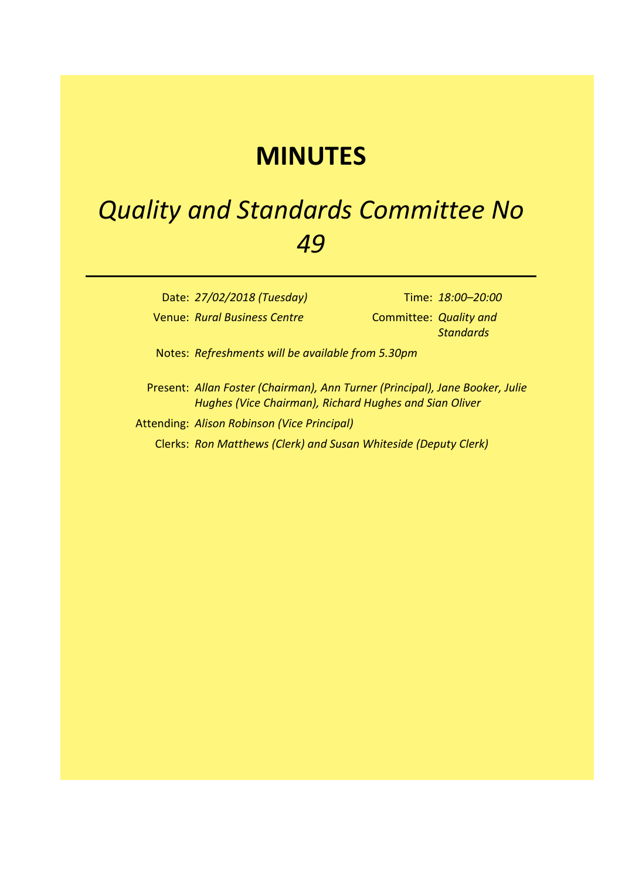## **MINUTES**

## *Quality and Standards Committee No 49*

Date: *27/02/2018 (Tuesday)* Time: *18:00–20:00* Venue: *Rural Business Centre* Committee: *Quality and* 

*Standards*

Notes: *Refreshments will be available from 5.30pm*

- Present: *Allan Foster (Chairman), Ann Turner (Principal), Jane Booker, Julie Hughes (Vice Chairman), Richard Hughes and Sian Oliver*
- Attending: *Alison Robinson (Vice Principal)* Clerks: *Ron Matthews (Clerk) and Susan Whiteside (Deputy Clerk)*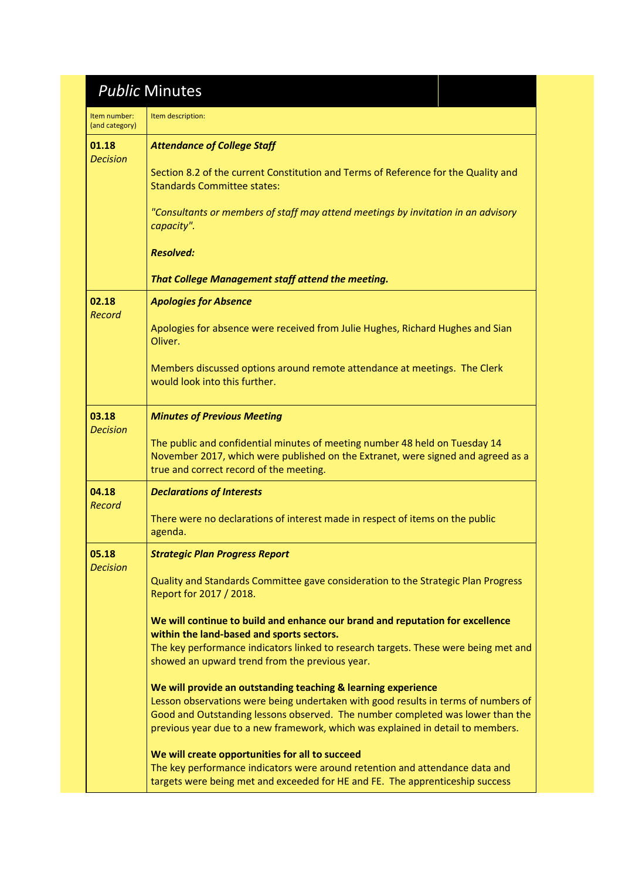## *Public* Minutes

| Item number:<br>(and category) | Item description:                                                                                                                                                                                                                                                                                                        |
|--------------------------------|--------------------------------------------------------------------------------------------------------------------------------------------------------------------------------------------------------------------------------------------------------------------------------------------------------------------------|
| 01.18<br><b>Decision</b>       | <b>Attendance of College Staff</b>                                                                                                                                                                                                                                                                                       |
|                                | Section 8.2 of the current Constitution and Terms of Reference for the Quality and<br><b>Standards Committee states:</b>                                                                                                                                                                                                 |
|                                | "Consultants or members of staff may attend meetings by invitation in an advisory<br>capacity".                                                                                                                                                                                                                          |
|                                | <b>Resolved:</b>                                                                                                                                                                                                                                                                                                         |
|                                | That College Management staff attend the meeting.                                                                                                                                                                                                                                                                        |
| 02.18<br>Record                | <b>Apologies for Absence</b>                                                                                                                                                                                                                                                                                             |
|                                | Apologies for absence were received from Julie Hughes, Richard Hughes and Sian<br>Oliver.                                                                                                                                                                                                                                |
|                                | Members discussed options around remote attendance at meetings. The Clerk<br>would look into this further.                                                                                                                                                                                                               |
| 03.18<br><b>Decision</b>       | <b>Minutes of Previous Meeting</b>                                                                                                                                                                                                                                                                                       |
|                                | The public and confidential minutes of meeting number 48 held on Tuesday 14<br>November 2017, which were published on the Extranet, were signed and agreed as a<br>true and correct record of the meeting.                                                                                                               |
| 04.18<br>Record                | <b>Declarations of Interests</b>                                                                                                                                                                                                                                                                                         |
|                                | There were no declarations of interest made in respect of items on the public<br>agenda.                                                                                                                                                                                                                                 |
| 05.18<br><b>Decision</b>       | <b>Strategic Plan Progress Report</b>                                                                                                                                                                                                                                                                                    |
|                                | Quality and Standards Committee gave consideration to the Strategic Plan Progress<br>Report for 2017 / 2018.                                                                                                                                                                                                             |
|                                | We will continue to build and enhance our brand and reputation for excellence<br>within the land-based and sports sectors.                                                                                                                                                                                               |
|                                | The key performance indicators linked to research targets. These were being met and<br>showed an upward trend from the previous year.                                                                                                                                                                                    |
|                                | We will provide an outstanding teaching & learning experience<br>Lesson observations were being undertaken with good results in terms of numbers of<br>Good and Outstanding lessons observed. The number completed was lower than the<br>previous year due to a new framework, which was explained in detail to members. |
|                                | We will create opportunities for all to succeed<br>The key performance indicators were around retention and attendance data and<br>targets were being met and exceeded for HE and FE. The apprenticeship success                                                                                                         |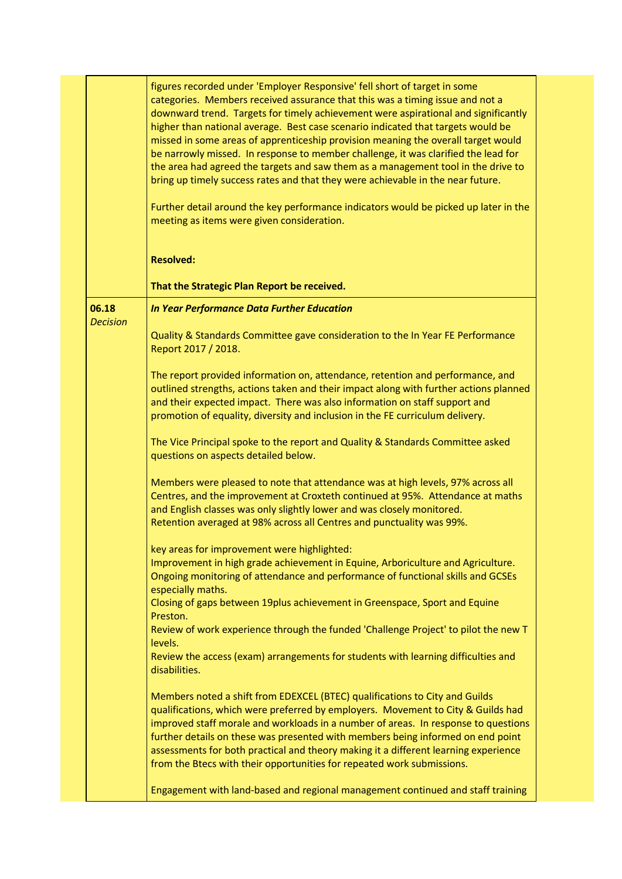figures recorded under 'Employer Responsive' fell short of target in some categories. Members received assurance that this was a timing issue and not a downward trend. Targets for timely achievement were aspirational and significantly higher than national average. Best case scenario indicated that targets would be missed in some areas of apprenticeship provision meaning the overall target would be narrowly missed. In response to member challenge, it was clarified the lead for the area had agreed the targets and saw them as a management tool in the drive to bring up timely success rates and that they were achievable in the near future.

Further detail around the key performance indicators would be picked up later in the meeting as items were given consideration.

## **Resolved:**

**That the Strategic Plan Report be received.**

*In Year Performance Data Further Education*

**06.18** *Decision*

> Quality & Standards Committee gave consideration to the In Year FE Performance Report 2017 / 2018.

The report provided information on, attendance, retention and performance, and outlined strengths, actions taken and their impact along with further actions planned and their expected impact. There was also information on staff support and promotion of equality, diversity and inclusion in the FE curriculum delivery.

The Vice Principal spoke to the report and Quality & Standards Committee asked questions on aspects detailed below.

Members were pleased to note that attendance was at high levels, 97% across all Centres, and the improvement at Croxteth continued at 95%. Attendance at maths and English classes was only slightly lower and was closely monitored. Retention averaged at 98% across all Centres and punctuality was 99%.

key areas for improvement were highlighted:

Improvement in high grade achievement in Equine, Arboriculture and Agriculture. Ongoing monitoring of attendance and performance of functional skills and GCSEs especially maths.

Closing of gaps between 19plus achievement in Greenspace, Sport and Equine Preston.

Review of work experience through the funded 'Challenge Project' to pilot the new T levels.

Review the access (exam) arrangements for students with learning difficulties and disabilities.

Members noted a shift from EDEXCEL (BTEC) qualifications to City and Guilds qualifications, which were preferred by employers. Movement to City & Guilds had improved staff morale and workloads in a number of areas. In response to questions further details on these was presented with members being informed on end point assessments for both practical and theory making it a different learning experience from the Btecs with their opportunities for repeated work submissions.

Engagement with land-based and regional management continued and staff training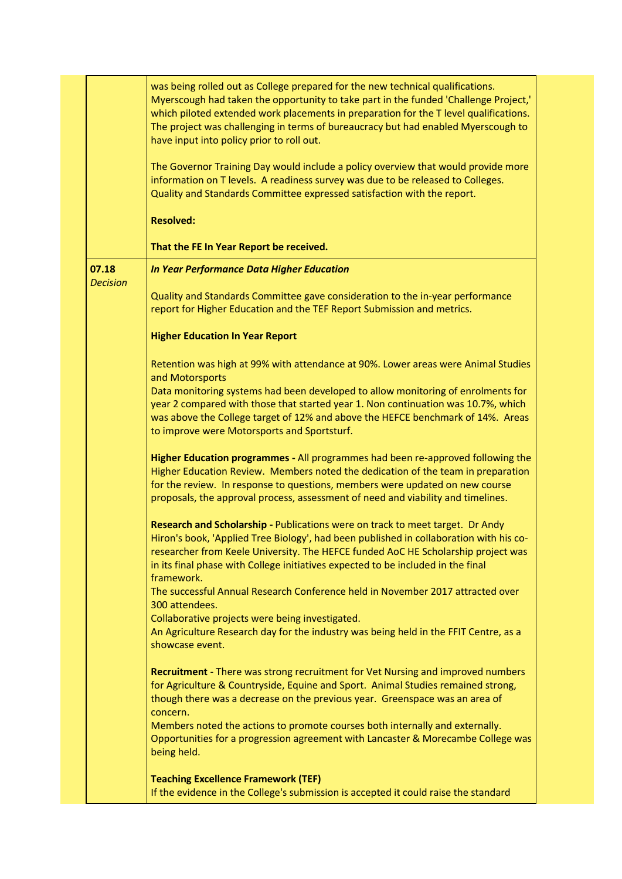|                          | was being rolled out as College prepared for the new technical qualifications.<br>Myerscough had taken the opportunity to take part in the funded 'Challenge Project,'<br>which piloted extended work placements in preparation for the T level qualifications.<br>The project was challenging in terms of bureaucracy but had enabled Myerscough to<br>have input into policy prior to roll out. |
|--------------------------|---------------------------------------------------------------------------------------------------------------------------------------------------------------------------------------------------------------------------------------------------------------------------------------------------------------------------------------------------------------------------------------------------|
|                          | The Governor Training Day would include a policy overview that would provide more<br>information on T levels. A readiness survey was due to be released to Colleges.<br>Quality and Standards Committee expressed satisfaction with the report.                                                                                                                                                   |
|                          | <b>Resolved:</b>                                                                                                                                                                                                                                                                                                                                                                                  |
|                          | That the FE In Year Report be received.                                                                                                                                                                                                                                                                                                                                                           |
| 07.18<br><b>Decision</b> | <b>In Year Performance Data Higher Education</b>                                                                                                                                                                                                                                                                                                                                                  |
|                          | Quality and Standards Committee gave consideration to the in-year performance<br>report for Higher Education and the TEF Report Submission and metrics.                                                                                                                                                                                                                                           |
|                          | <b>Higher Education In Year Report</b>                                                                                                                                                                                                                                                                                                                                                            |
|                          | Retention was high at 99% with attendance at 90%. Lower areas were Animal Studies<br>and Motorsports                                                                                                                                                                                                                                                                                              |
|                          | Data monitoring systems had been developed to allow monitoring of enrolments for<br>year 2 compared with those that started year 1. Non continuation was 10.7%, which<br>was above the College target of 12% and above the HEFCE benchmark of 14%. Areas<br>to improve were Motorsports and Sportsturf.                                                                                           |
|                          | Higher Education programmes - All programmes had been re-approved following the<br>Higher Education Review. Members noted the dedication of the team in preparation<br>for the review. In response to questions, members were updated on new course<br>proposals, the approval process, assessment of need and viability and timelines.                                                           |
|                          | Research and Scholarship - Publications were on track to meet target. Dr Andy<br>Hiron's book, 'Applied Tree Biology', had been published in collaboration with his co-<br>researcher from Keele University. The HEFCE funded AoC HE Scholarship project was<br>in its final phase with College initiatives expected to be included in the final<br>framework.                                    |
|                          | The successful Annual Research Conference held in November 2017 attracted over<br>300 attendees.                                                                                                                                                                                                                                                                                                  |
|                          | Collaborative projects were being investigated.<br>An Agriculture Research day for the industry was being held in the FFIT Centre, as a<br>showcase event.                                                                                                                                                                                                                                        |
|                          | Recruitment - There was strong recruitment for Vet Nursing and improved numbers<br>for Agriculture & Countryside, Equine and Sport. Animal Studies remained strong,<br>though there was a decrease on the previous year. Greenspace was an area of<br>concern.                                                                                                                                    |
|                          | Members noted the actions to promote courses both internally and externally.<br>Opportunities for a progression agreement with Lancaster & Morecambe College was<br>being held.                                                                                                                                                                                                                   |
|                          | <b>Teaching Excellence Framework (TEF)</b><br>If the evidence in the College's submission is accepted it could raise the standard                                                                                                                                                                                                                                                                 |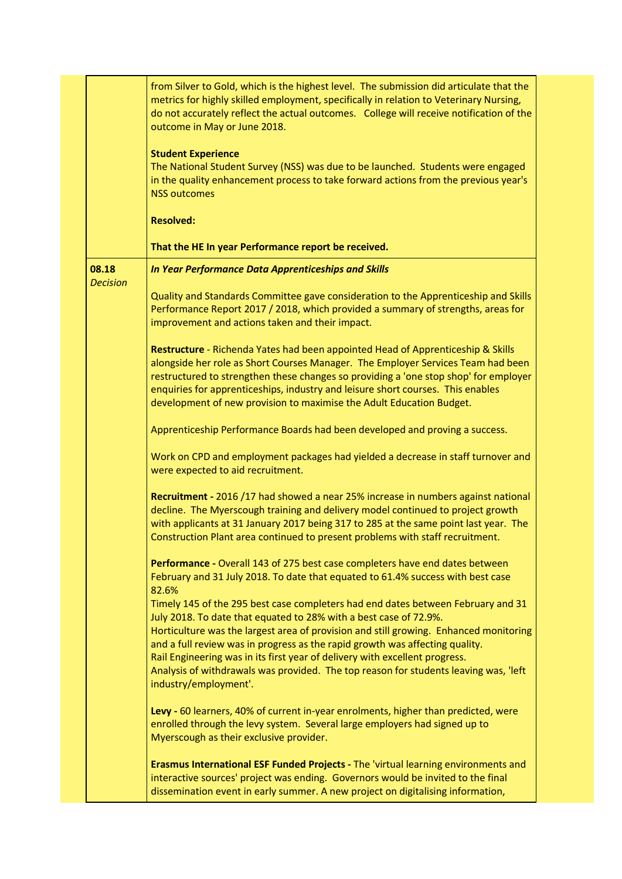|                          | from Silver to Gold, which is the highest level. The submission did articulate that the<br>metrics for highly skilled employment, specifically in relation to Veterinary Nursing,<br>do not accurately reflect the actual outcomes. College will receive notification of the<br>outcome in May or June 2018.                                                                                                                                                                                                                   |
|--------------------------|--------------------------------------------------------------------------------------------------------------------------------------------------------------------------------------------------------------------------------------------------------------------------------------------------------------------------------------------------------------------------------------------------------------------------------------------------------------------------------------------------------------------------------|
|                          | <b>Student Experience</b><br>The National Student Survey (NSS) was due to be launched. Students were engaged<br>in the quality enhancement process to take forward actions from the previous year's<br><b>NSS outcomes</b>                                                                                                                                                                                                                                                                                                     |
|                          | <b>Resolved:</b>                                                                                                                                                                                                                                                                                                                                                                                                                                                                                                               |
|                          | That the HE In year Performance report be received.                                                                                                                                                                                                                                                                                                                                                                                                                                                                            |
| 08.18<br><b>Decision</b> | In Year Performance Data Apprenticeships and Skills                                                                                                                                                                                                                                                                                                                                                                                                                                                                            |
|                          | Quality and Standards Committee gave consideration to the Apprenticeship and Skills<br>Performance Report 2017 / 2018, which provided a summary of strengths, areas for<br>improvement and actions taken and their impact.                                                                                                                                                                                                                                                                                                     |
|                          | Restructure - Richenda Yates had been appointed Head of Apprenticeship & Skills<br>alongside her role as Short Courses Manager. The Employer Services Team had been<br>restructured to strengthen these changes so providing a 'one stop shop' for employer<br>enquiries for apprenticeships, industry and leisure short courses. This enables<br>development of new provision to maximise the Adult Education Budget.                                                                                                         |
|                          | Apprenticeship Performance Boards had been developed and proving a success.                                                                                                                                                                                                                                                                                                                                                                                                                                                    |
|                          | Work on CPD and employment packages had yielded a decrease in staff turnover and<br>were expected to aid recruitment.                                                                                                                                                                                                                                                                                                                                                                                                          |
|                          | Recruitment - 2016 /17 had showed a near 25% increase in numbers against national<br>decline. The Myerscough training and delivery model continued to project growth<br>with applicants at 31 January 2017 being 317 to 285 at the same point last year. The<br>Construction Plant area continued to present problems with staff recruitment.                                                                                                                                                                                  |
|                          | Performance - Overall 143 of 275 best case completers have end dates between<br>February and 31 July 2018. To date that equated to 61.4% success with best case<br>82.6%                                                                                                                                                                                                                                                                                                                                                       |
|                          | Timely 145 of the 295 best case completers had end dates between February and 31<br>July 2018. To date that equated to 28% with a best case of 72.9%.<br>Horticulture was the largest area of provision and still growing. Enhanced monitoring<br>and a full review was in progress as the rapid growth was affecting quality.<br>Rail Engineering was in its first year of delivery with excellent progress.<br>Analysis of withdrawals was provided. The top reason for students leaving was, 'left<br>industry/employment'. |
|                          | Levy - 60 learners, 40% of current in-year enrolments, higher than predicted, were<br>enrolled through the levy system. Several large employers had signed up to<br>Myerscough as their exclusive provider.                                                                                                                                                                                                                                                                                                                    |
|                          | Erasmus International ESF Funded Projects - The 'virtual learning environments and<br>interactive sources' project was ending. Governors would be invited to the final<br>dissemination event in early summer. A new project on digitalising information,                                                                                                                                                                                                                                                                      |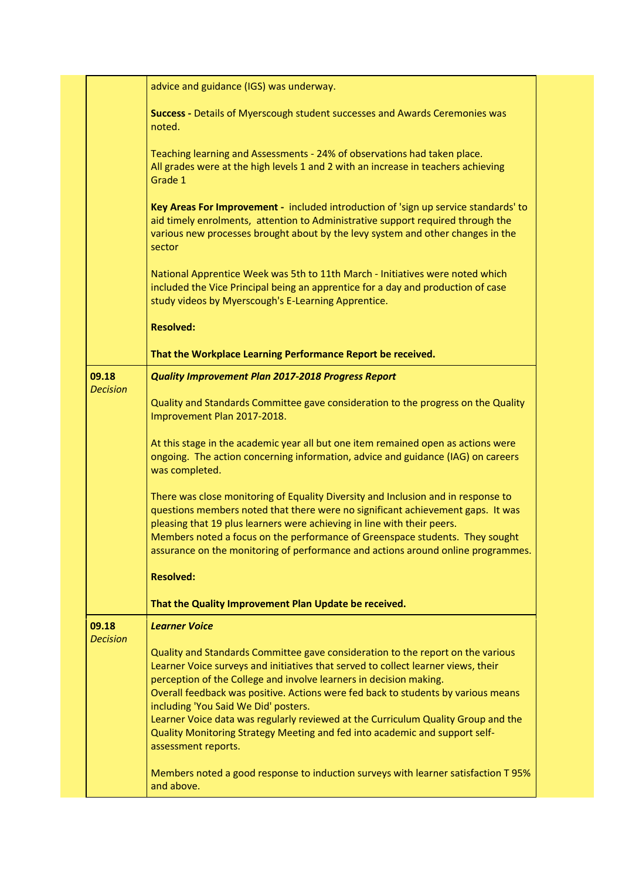|                          | advice and guidance (IGS) was underway.                                                                                                                                                                                                                                                                                                                                                                             |
|--------------------------|---------------------------------------------------------------------------------------------------------------------------------------------------------------------------------------------------------------------------------------------------------------------------------------------------------------------------------------------------------------------------------------------------------------------|
|                          | Success - Details of Myerscough student successes and Awards Ceremonies was<br>noted.                                                                                                                                                                                                                                                                                                                               |
|                          | Teaching learning and Assessments - 24% of observations had taken place.<br>All grades were at the high levels 1 and 2 with an increase in teachers achieving<br>Grade 1                                                                                                                                                                                                                                            |
|                          | Key Areas For Improvement - included introduction of 'sign up service standards' to<br>aid timely enrolments, attention to Administrative support required through the<br>various new processes brought about by the levy system and other changes in the<br>sector                                                                                                                                                 |
|                          | National Apprentice Week was 5th to 11th March - Initiatives were noted which<br>included the Vice Principal being an apprentice for a day and production of case<br>study videos by Myerscough's E-Learning Apprentice.                                                                                                                                                                                            |
|                          | <b>Resolved:</b>                                                                                                                                                                                                                                                                                                                                                                                                    |
|                          | That the Workplace Learning Performance Report be received.                                                                                                                                                                                                                                                                                                                                                         |
| 09.18                    | <b>Quality Improvement Plan 2017-2018 Progress Report</b>                                                                                                                                                                                                                                                                                                                                                           |
| <b>Decision</b>          | Quality and Standards Committee gave consideration to the progress on the Quality<br>Improvement Plan 2017-2018.                                                                                                                                                                                                                                                                                                    |
|                          | At this stage in the academic year all but one item remained open as actions were<br>ongoing. The action concerning information, advice and guidance (IAG) on careers<br>was completed.                                                                                                                                                                                                                             |
|                          | There was close monitoring of Equality Diversity and Inclusion and in response to<br>questions members noted that there were no significant achievement gaps. It was<br>pleasing that 19 plus learners were achieving in line with their peers.<br>Members noted a focus on the performance of Greenspace students. They sought<br>assurance on the monitoring of performance and actions around online programmes. |
|                          | <b>Resolved:</b>                                                                                                                                                                                                                                                                                                                                                                                                    |
|                          | That the Quality Improvement Plan Update be received.                                                                                                                                                                                                                                                                                                                                                               |
| 09.18<br><b>Decision</b> | <b>Learner Voice</b>                                                                                                                                                                                                                                                                                                                                                                                                |
|                          | Quality and Standards Committee gave consideration to the report on the various<br>Learner Voice surveys and initiatives that served to collect learner views, their<br>perception of the College and involve learners in decision making.<br>Overall feedback was positive. Actions were fed back to students by various means                                                                                     |
|                          | including 'You Said We Did' posters.<br>Learner Voice data was regularly reviewed at the Curriculum Quality Group and the<br>Quality Monitoring Strategy Meeting and fed into academic and support self-<br>assessment reports.                                                                                                                                                                                     |
|                          | Members noted a good response to induction surveys with learner satisfaction T 95%<br>and above.                                                                                                                                                                                                                                                                                                                    |
|                          |                                                                                                                                                                                                                                                                                                                                                                                                                     |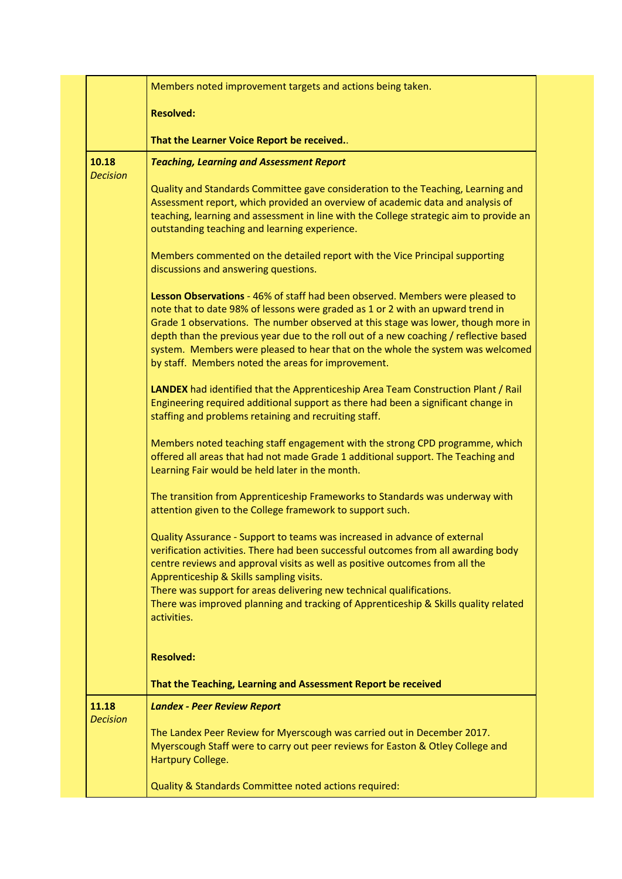|                 | Members noted improvement targets and actions being taken.                                                                                                                                                                                                                                                                                                                                                                                                                            |
|-----------------|---------------------------------------------------------------------------------------------------------------------------------------------------------------------------------------------------------------------------------------------------------------------------------------------------------------------------------------------------------------------------------------------------------------------------------------------------------------------------------------|
|                 | <b>Resolved:</b>                                                                                                                                                                                                                                                                                                                                                                                                                                                                      |
|                 | That the Learner Voice Report be received                                                                                                                                                                                                                                                                                                                                                                                                                                             |
| 10.18           | <b>Teaching, Learning and Assessment Report</b>                                                                                                                                                                                                                                                                                                                                                                                                                                       |
| <b>Decision</b> | Quality and Standards Committee gave consideration to the Teaching, Learning and<br>Assessment report, which provided an overview of academic data and analysis of<br>teaching, learning and assessment in line with the College strategic aim to provide an<br>outstanding teaching and learning experience.                                                                                                                                                                         |
|                 | Members commented on the detailed report with the Vice Principal supporting<br>discussions and answering questions.                                                                                                                                                                                                                                                                                                                                                                   |
|                 | Lesson Observations - 46% of staff had been observed. Members were pleased to<br>note that to date 98% of lessons were graded as 1 or 2 with an upward trend in<br>Grade 1 observations. The number observed at this stage was lower, though more in<br>depth than the previous year due to the roll out of a new coaching / reflective based<br>system. Members were pleased to hear that on the whole the system was welcomed<br>by staff. Members noted the areas for improvement. |
|                 | LANDEX had identified that the Apprenticeship Area Team Construction Plant / Rail<br>Engineering required additional support as there had been a significant change in<br>staffing and problems retaining and recruiting staff.                                                                                                                                                                                                                                                       |
|                 | Members noted teaching staff engagement with the strong CPD programme, which<br>offered all areas that had not made Grade 1 additional support. The Teaching and<br>Learning Fair would be held later in the month.                                                                                                                                                                                                                                                                   |
|                 | The transition from Apprenticeship Frameworks to Standards was underway with<br>attention given to the College framework to support such.                                                                                                                                                                                                                                                                                                                                             |
|                 | Quality Assurance - Support to teams was increased in advance of external<br>verification activities. There had been successful outcomes from all awarding body<br>centre reviews and approval visits as well as positive outcomes from all the<br>Apprenticeship & Skills sampling visits.<br>There was support for areas delivering new technical qualifications.                                                                                                                   |
|                 | There was improved planning and tracking of Apprenticeship & Skills quality related<br>activities.                                                                                                                                                                                                                                                                                                                                                                                    |
|                 | <b>Resolved:</b>                                                                                                                                                                                                                                                                                                                                                                                                                                                                      |
|                 | That the Teaching, Learning and Assessment Report be received                                                                                                                                                                                                                                                                                                                                                                                                                         |
| 11.18           | <b>Landex - Peer Review Report</b>                                                                                                                                                                                                                                                                                                                                                                                                                                                    |
| <b>Decision</b> | The Landex Peer Review for Myerscough was carried out in December 2017.<br>Myerscough Staff were to carry out peer reviews for Easton & Otley College and<br>Hartpury College.                                                                                                                                                                                                                                                                                                        |
|                 | Quality & Standards Committee noted actions required:                                                                                                                                                                                                                                                                                                                                                                                                                                 |
|                 |                                                                                                                                                                                                                                                                                                                                                                                                                                                                                       |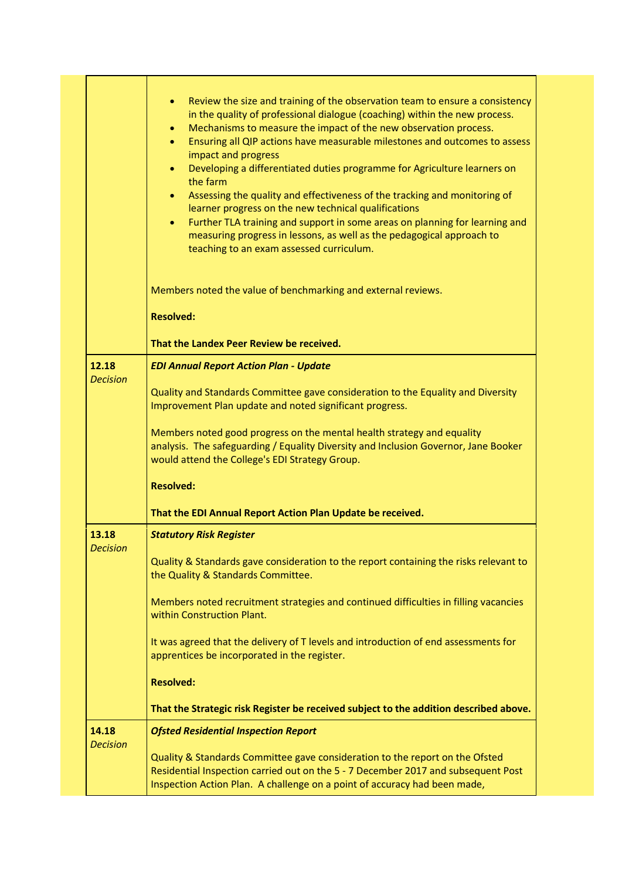|                          | Review the size and training of the observation team to ensure a consistency<br>$\bullet$<br>in the quality of professional dialogue (coaching) within the new process.<br>Mechanisms to measure the impact of the new observation process.<br>$\bullet$<br>Ensuring all QIP actions have measurable milestones and outcomes to assess<br>$\bullet$<br>impact and progress<br>Developing a differentiated duties programme for Agriculture learners on<br>$\bullet$<br>the farm<br>Assessing the quality and effectiveness of the tracking and monitoring of<br>$\bullet$<br>learner progress on the new technical qualifications<br>Further TLA training and support in some areas on planning for learning and<br>$\bullet$<br>measuring progress in lessons, as well as the pedagogical approach to<br>teaching to an exam assessed curriculum. |
|--------------------------|----------------------------------------------------------------------------------------------------------------------------------------------------------------------------------------------------------------------------------------------------------------------------------------------------------------------------------------------------------------------------------------------------------------------------------------------------------------------------------------------------------------------------------------------------------------------------------------------------------------------------------------------------------------------------------------------------------------------------------------------------------------------------------------------------------------------------------------------------|
|                          | Members noted the value of benchmarking and external reviews.<br><b>Resolved:</b>                                                                                                                                                                                                                                                                                                                                                                                                                                                                                                                                                                                                                                                                                                                                                                  |
|                          | That the Landex Peer Review be received.                                                                                                                                                                                                                                                                                                                                                                                                                                                                                                                                                                                                                                                                                                                                                                                                           |
| 12.18<br><b>Decision</b> | <b>EDI Annual Report Action Plan - Update</b><br>Quality and Standards Committee gave consideration to the Equality and Diversity<br>Improvement Plan update and noted significant progress.<br>Members noted good progress on the mental health strategy and equality<br>analysis. The safeguarding / Equality Diversity and Inclusion Governor, Jane Booker<br>would attend the College's EDI Strategy Group.                                                                                                                                                                                                                                                                                                                                                                                                                                    |
|                          | <b>Resolved:</b>                                                                                                                                                                                                                                                                                                                                                                                                                                                                                                                                                                                                                                                                                                                                                                                                                                   |
|                          | That the EDI Annual Report Action Plan Update be received.                                                                                                                                                                                                                                                                                                                                                                                                                                                                                                                                                                                                                                                                                                                                                                                         |
| 13.18<br><b>Decision</b> | <b>Statutory Risk Register</b><br>Quality & Standards gave consideration to the report containing the risks relevant to<br>the Quality & Standards Committee.<br>Members noted recruitment strategies and continued difficulties in filling vacancies<br>within Construction Plant.<br>It was agreed that the delivery of T levels and introduction of end assessments for                                                                                                                                                                                                                                                                                                                                                                                                                                                                         |
|                          | apprentices be incorporated in the register.                                                                                                                                                                                                                                                                                                                                                                                                                                                                                                                                                                                                                                                                                                                                                                                                       |
|                          | <b>Resolved:</b>                                                                                                                                                                                                                                                                                                                                                                                                                                                                                                                                                                                                                                                                                                                                                                                                                                   |
|                          | That the Strategic risk Register be received subject to the addition described above.                                                                                                                                                                                                                                                                                                                                                                                                                                                                                                                                                                                                                                                                                                                                                              |
| 14.18<br><b>Decision</b> | <b>Ofsted Residential Inspection Report</b><br>Quality & Standards Committee gave consideration to the report on the Ofsted<br>Residential Inspection carried out on the 5 - 7 December 2017 and subsequent Post<br>Inspection Action Plan. A challenge on a point of accuracy had been made,                                                                                                                                                                                                                                                                                                                                                                                                                                                                                                                                                      |